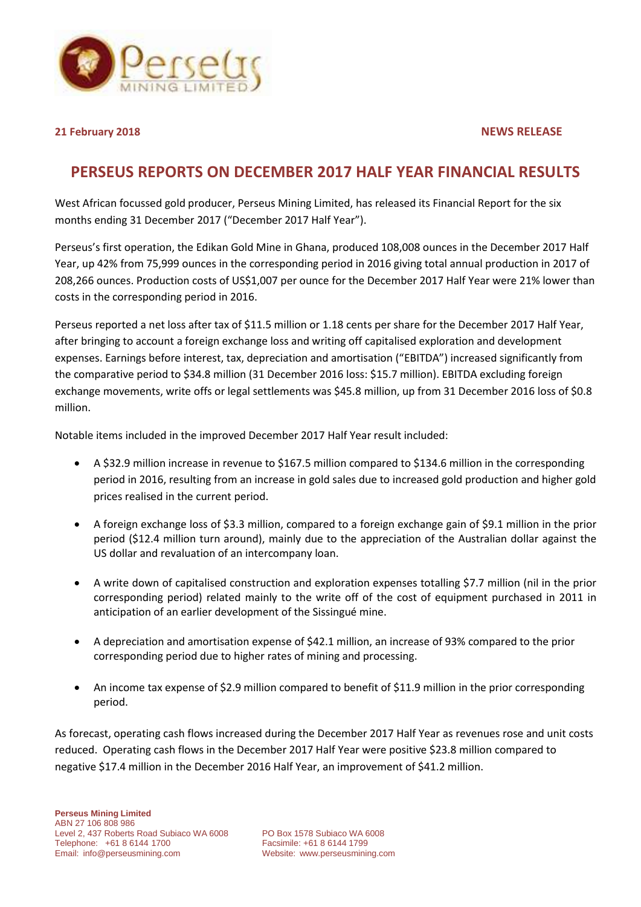

**21 February 2018 NEWS RELEASE**

# **PERSEUS REPORTS ON DECEMBER 2017 HALF YEAR FINANCIAL RESULTS**

West African focussed gold producer, Perseus Mining Limited, has released its Financial Report for the six months ending 31 December 2017 ("December 2017 Half Year").

Perseus's first operation, the Edikan Gold Mine in Ghana, produced 108,008 ounces in the December 2017 Half Year, up 42% from 75,999 ounces in the corresponding period in 2016 giving total annual production in 2017 of 208,266 ounces. Production costs of US\$1,007 per ounce for the December 2017 Half Year were 21% lower than costs in the corresponding period in 2016.

Perseus reported a net loss after tax of \$11.5 million or 1.18 cents per share for the December 2017 Half Year, after bringing to account a foreign exchange loss and writing off capitalised exploration and development expenses. Earnings before interest, tax, depreciation and amortisation ("EBITDA") increased significantly from the comparative period to \$34.8 million (31 December 2016 loss: \$15.7 million). EBITDA excluding foreign exchange movements, write offs or legal settlements was \$45.8 million, up from 31 December 2016 loss of \$0.8 million.

Notable items included in the improved December 2017 Half Year result included:

- A \$32.9 million increase in revenue to \$167.5 million compared to \$134.6 million in the corresponding period in 2016, resulting from an increase in gold sales due to increased gold production and higher gold prices realised in the current period.
- A foreign exchange loss of \$3.3 million, compared to a foreign exchange gain of \$9.1 million in the prior period (\$12.4 million turn around), mainly due to the appreciation of the Australian dollar against the US dollar and revaluation of an intercompany loan.
- A write down of capitalised construction and exploration expenses totalling \$7.7 million (nil in the prior corresponding period) related mainly to the write off of the cost of equipment purchased in 2011 in anticipation of an earlier development of the Sissingué mine.
- A depreciation and amortisation expense of \$42.1 million, an increase of 93% compared to the prior corresponding period due to higher rates of mining and processing.
- An income tax expense of \$2.9 million compared to benefit of \$11.9 million in the prior corresponding period.

As forecast, operating cash flows increased during the December 2017 Half Year as revenues rose and unit costs reduced. Operating cash flows in the December 2017 Half Year were positive \$23.8 million compared to negative \$17.4 million in the December 2016 Half Year, an improvement of \$41.2 million.

Website: [www.perseusmining.com](http://www.perseusmining.com/)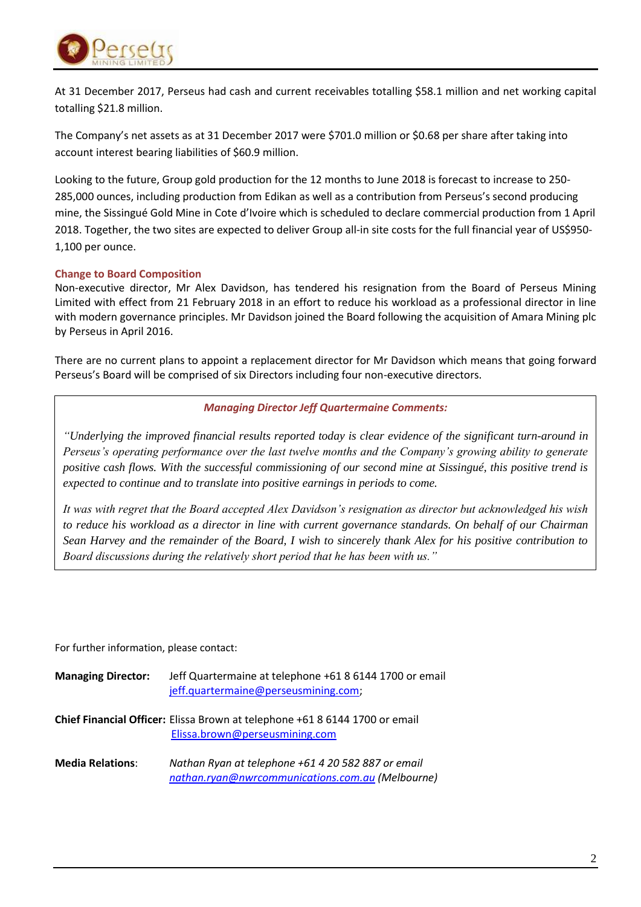

At 31 December 2017, Perseus had cash and current receivables totalling \$58.1 million and net working capital totalling \$21.8 million.

The Company's net assets as at 31 December 2017 were \$701.0 million or \$0.68 per share after taking into account interest bearing liabilities of \$60.9 million.

Looking to the future, Group gold production for the 12 months to June 2018 is forecast to increase to 250- 285,000 ounces, including production from Edikan as well as a contribution from Perseus's second producing mine, the Sissingué Gold Mine in Cote d'Ivoire which is scheduled to declare commercial production from 1 April 2018. Together, the two sites are expected to deliver Group all-in site costs for the full financial year of US\$950- 1,100 per ounce.

# **Change to Board Composition**

Non-executive director, Mr Alex Davidson, has tendered his resignation from the Board of Perseus Mining Limited with effect from 21 February 2018 in an effort to reduce his workload as a professional director in line with modern governance principles. Mr Davidson joined the Board following the acquisition of Amara Mining plc by Perseus in April 2016.

There are no current plans to appoint a replacement director for Mr Davidson which means that going forward Perseus's Board will be comprised of six Directors including four non-executive directors.

# *Managing Director Jeff Quartermaine Comments:*

*"Underlying the improved financial results reported today is clear evidence of the significant turn-around in Perseus's operating performance over the last twelve months and the Company's growing ability to generate positive cash flows. With the successful commissioning of our second mine at Sissingué, this positive trend is expected to continue and to translate into positive earnings in periods to come.*

*It was with regret that the Board accepted Alex Davidson's resignation as director but acknowledged his wish to reduce his workload as a director in line with current governance standards. On behalf of our Chairman Sean Harvey and the remainder of the Board, I wish to sincerely thank Alex for his positive contribution to Board discussions during the relatively short period that he has been with us."* 

For further information, please contact:

| <b>Managing Director:</b> | Jeff Quartermaine at telephone +61 8 6144 1700 or email<br>jeff.quartermaine@perseusmining.com;               |
|---------------------------|---------------------------------------------------------------------------------------------------------------|
|                           | Chief Financial Officer: Elissa Brown at telephone +61 8 6144 1700 or email<br>Elissa.brown@perseusmining.com |
| <b>Media Relations:</b>   | Nathan Ryan at telephone +61 4 20 582 887 or email<br>nathan.ryan@nwrcommunications.com.au (Melbourne)        |